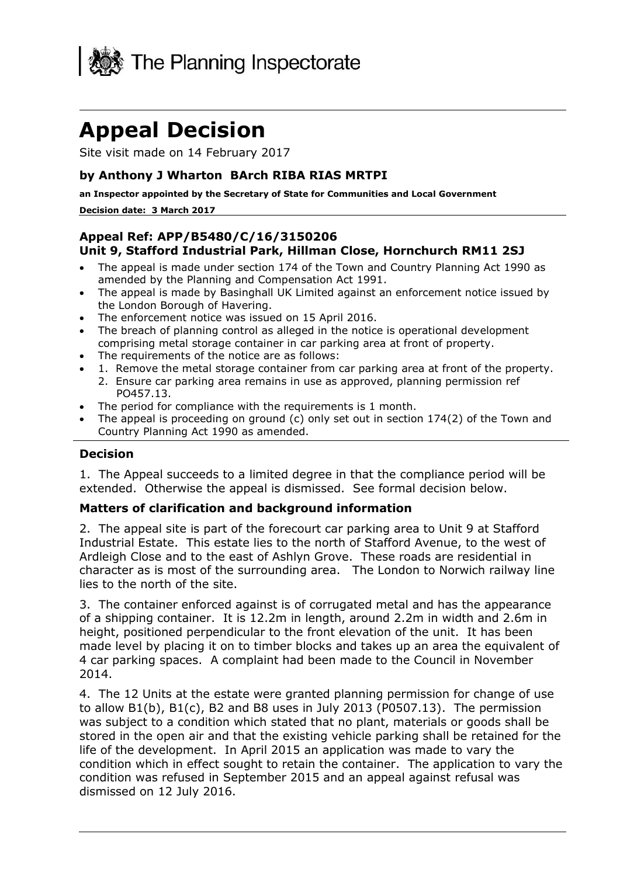

# **Appeal Decision**

Site visit made on 14 February 2017

#### **by Anthony J Wharton BArch RIBA RIAS MRTPI**

 **an Inspector appointed by the Secretary of State for Communities and Local Government Decision date: 3 March 2017** 

## **Unit 9, Stafford Industrial Park, Hillman Close, Hornchurch RM11 2SJ Appeal Ref: APP/B5480/C/16/3150206**

- The appeal is made under section 174 of the Town and Country Planning Act 1990 as amended by the Planning and Compensation Act 1991.
- The appeal is made by Basinghall UK Limited against an enforcement notice issued by the London Borough of Havering.
- The enforcement notice was issued on 15 April 2016.
- The breach of planning control as alleged in the notice is operational development comprising metal storage container in car parking area at front of property.
- The requirements of the notice are as follows:
- 1. Remove the metal storage container from car parking area at front of the property.
- 2. Ensure car parking area remains in use as approved, planning permission ref PO457.13.
- The period for compliance with the requirements is 1 month.
- The appeal is proceeding on ground (c) only set out in section 174(2) of the Town and Country Planning Act 1990 as amended.

#### **Decision**

 1. The Appeal succeeds to a limited degree in that the compliance period will be extended. Otherwise the appeal is dismissed. See formal decision below.

#### **Matters of clarification and background information**

 2. The appeal site is part of the forecourt car parking area to Unit 9 at Stafford Industrial Estate. This estate lies to the north of Stafford Avenue, to the west of Ardleigh Close and to the east of Ashlyn Grove. These roads are residential in character as is most of the surrounding area. The London to Norwich railway line lies to the north of the site.

 3. The container enforced against is of corrugated metal and has the appearance of a shipping container. It is 12.2m in length, around 2.2m in width and 2.6m in height, positioned perpendicular to the front elevation of the unit. It has been made level by placing it on to timber blocks and takes up an area the equivalent of 4 car parking spaces. A complaint had been made to the Council in November 2014.

 4. The 12 Units at the estate were granted planning permission for change of use to allow B1(b), B1(c), B2 and B8 uses in July 2013 (P0507.13). The permission was subject to a condition which stated that no plant, materials or goods shall be stored in the open air and that the existing vehicle parking shall be retained for the life of the development. In April 2015 an application was made to vary the condition which in effect sought to retain the container. The application to vary the condition was refused in September 2015 and an appeal against refusal was dismissed on 12 July 2016.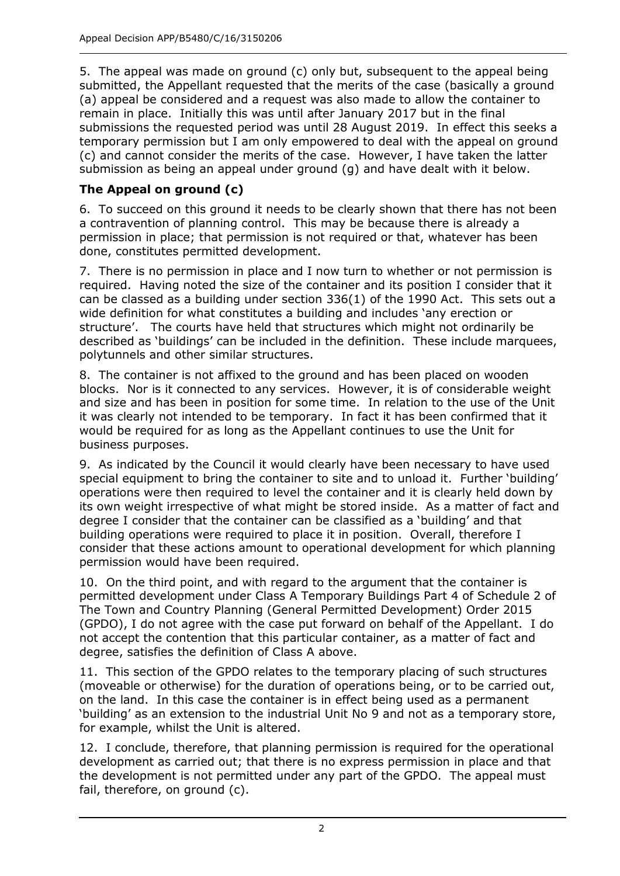5. The appeal was made on ground (c) only but, subsequent to the appeal being submitted, the Appellant requested that the merits of the case (basically a ground (a) appeal be considered and a request was also made to allow the container to remain in place. Initially this was until after January 2017 but in the final submissions the requested period was until 28 August 2019. In effect this seeks a temporary permission but I am only empowered to deal with the appeal on ground (c) and cannot consider the merits of the case. However, I have taken the latter submission as being an appeal under ground (g) and have dealt with it below.

# **The Appeal on ground (c)**

 6. To succeed on this ground it needs to be clearly shown that there has not been a contravention of planning control. This may be because there is already a permission in place; that permission is not required or that, whatever has been done, constitutes permitted development.

 7. There is no permission in place and I now turn to whether or not permission is required. Having noted the size of the container and its position I consider that it can be classed as a building under section 336(1) of the 1990 Act. This sets out a wide definition for what constitutes a building and includes 'any erection or structure'. The courts have held that structures which might not ordinarily be described as 'buildings' can be included in the definition. These include marquees, polytunnels and other similar structures.

 8. The container is not affixed to the ground and has been placed on wooden blocks. Nor is it connected to any services. However, it is of considerable weight and size and has been in position for some time. In relation to the use of the Unit it was clearly not intended to be temporary. In fact it has been confirmed that it would be required for as long as the Appellant continues to use the Unit for business purposes.

business purposes.<br>9. As indicated by the Council it would clearly have been necessary to have used special equipment to bring the container to site and to unload it. Further 'building' operations were then required to level the container and it is clearly held down by its own weight irrespective of what might be stored inside. As a matter of fact and degree I consider that the container can be classified as a 'building' and that building operations were required to place it in position. Overall, therefore I consider that these actions amount to operational development for which planning permission would have been required.

 10. On the third point, and with regard to the argument that the container is The Town and Country Planning (General Permitted Development) Order 2015 (GPDO), I do not agree with the case put forward on behalf of the Appellant. I do not accept the contention that this particular container, as a matter of fact and degree, satisfies the definition of Class A above. permitted development under Class A Temporary Buildings Part 4 of Schedule 2 of

 11. This section of the GPDO relates to the temporary placing of such structures on the land. In this case the container is in effect being used as a permanent 'building' as an extension to the industrial Unit No 9 and not as a temporary store, for example, whilst the Unit is altered. (moveable or otherwise) for the duration of operations being, or to be carried out,

 12. I conclude, therefore, that planning permission is required for the operational development as carried out; that there is no express permission in place and that the development is not permitted under any part of the GPDO. The appeal must fail, therefore, on ground (c).